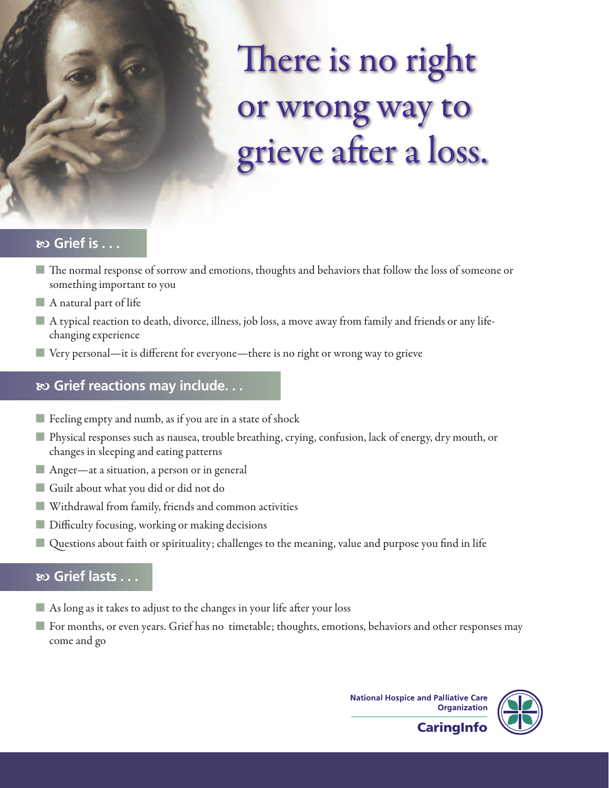# There is no right or wrong way to grieve after a loss.

## $\infty$  **Grief is . . .**

- The normal response of sorrow and emotions, thoughts and behaviors that follow the loss of someone or something important to you
- $\blacksquare$  A natural part of life
- A typical reaction to death, divorce, illness, job loss, a move away from family and friends or any lifechanging experience
- $\blacksquare$  Very personal—it is different for everyone—there is no right or wrong way to grieve

## b **Grief reactions may include. . .**

- $\blacksquare$  Feeling empty and numb, as if you are in a state of shock
- Physical responses such as nausea, trouble breathing, crying, confusion, lack of energy, dry mouth, or changes in sleeping and eating patterns
- Anger—at a situation, a person or in general
- Guilt about what you did or did not do
- Withdrawal from family, friends and common activities
- **Difficulty focusing, working or making decisions**
- Questions about faith or spirituality; challenges to the meaning, value and purpose you find in life

## $\infty$  **Grief lasts . . .**

- $\blacksquare$  As long as it takes to adjust to the changes in your life after your loss
- For months, or even years. Grief has no timetable; thoughts, emotions, behaviors and other responses may come and go

**National Hospice and Palliative Care Organization** 



**CaringInfo**